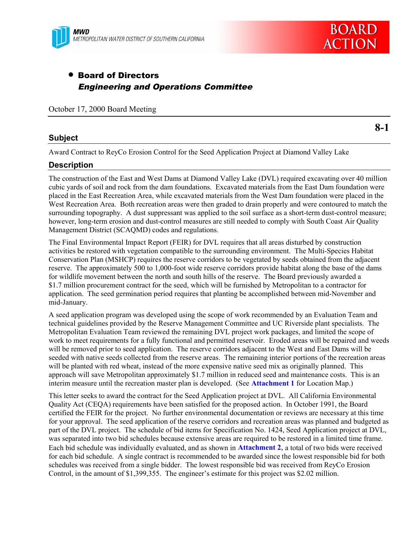

# • Board of Directors Engineering and Operations Committee

October 17, 2000 Board Meeting

# **Subject**

**8-1**

Award Contract to ReyCo Erosion Control for the Seed Application Project at Diamond Valley Lake

# **Description**

The construction of the East and West Dams at Diamond Valley Lake (DVL) required excavating over 40 million cubic yards of soil and rock from the dam foundations. Excavated materials from the East Dam foundation were placed in the East Recreation Area, while excavated materials from the West Dam foundation were placed in the West Recreation Area. Both recreation areas were then graded to drain properly and were contoured to match the surrounding topography. A dust suppressant was applied to the soil surface as a short-term dust-control measure; however, long-term erosion and dust-control measures are still needed to comply with South Coast Air Quality Management District (SCAQMD) codes and regulations.

The Final Environmental Impact Report (FEIR) for DVL requires that all areas disturbed by construction activities be restored with vegetation compatible to the surrounding environment. The Multi-Species Habitat Conservation Plan (MSHCP) requires the reserve corridors to be vegetated by seeds obtained from the adjacent reserve. The approximately 500 to 1,000-foot wide reserve corridors provide habitat along the base of the dams for wildlife movement between the north and south hills of the reserve. The Board previously awarded a \$1.7 million procurement contract for the seed, which will be furnished by Metropolitan to a contractor for application. The seed germination period requires that planting be accomplished between mid-November and mid-January.

A seed application program was developed using the scope of work recommended by an Evaluation Team and technical guidelines provided by the Reserve Management Committee and UC Riverside plant specialists. The Metropolitan Evaluation Team reviewed the remaining DVL project work packages, and limited the scope of work to meet requirements for a fully functional and permitted reservoir. Eroded areas will be repaired and weeds will be removed prior to seed application. The reserve corridors adjacent to the West and East Dams will be seeded with native seeds collected from the reserve areas. The remaining interior portions of the recreation areas will be planted with red wheat, instead of the more expensive native seed mix as originally planned. This approach will save Metropolitan approximately \$1.7 million in reduced seed and maintenance costs. This is an interim measure until the recreation master plan is developed. (See **Attachment 1** for Location Map.)

This letter seeks to award the contract for the Seed Application project at DVL. All California Environmental Quality Act (CEQA) requirements have been satisfied for the proposed action. In October 1991, the Board certified the FEIR for the project. No further environmental documentation or reviews are necessary at this time for your approval. The seed application of the reserve corridors and recreation areas was planned and budgeted as part of the DVL project. The schedule of bid items for Specification No. 1424, Seed Application project at DVL, was separated into two bid schedules because extensive areas are required to be restored in a limited time frame. Each bid schedule was individually evaluated, and as shown in **Attachment 2**, a total of two bids were received for each bid schedule. A single contract is recommended to be awarded since the lowest responsible bid for both schedules was received from a single bidder. The lowest responsible bid was received from ReyCo Erosion Control, in the amount of \$1,399,355. The engineer's estimate for this project was \$2.02 million.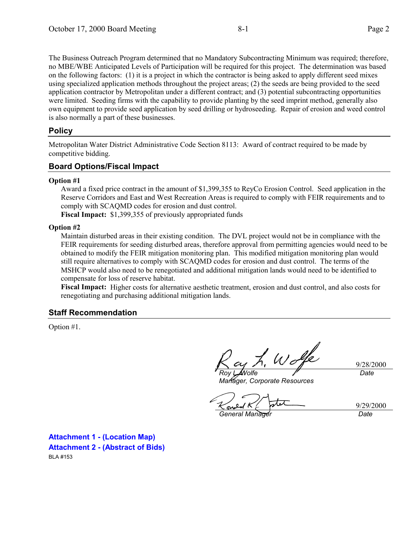The Business Outreach Program determined that no Mandatory Subcontracting Minimum was required; therefore, no MBE/WBE Anticipated Levels of Participation will be required for this project. The determination was based on the following factors: (1) it is a project in which the contractor is being asked to apply different seed mixes using specialized application methods throughout the project areas; (2) the seeds are being provided to the seed application contractor by Metropolitan under a different contract; and (3) potential subcontracting opportunities were limited. Seeding firms with the capability to provide planting by the seed imprint method, generally also own equipment to provide seed application by seed drilling or hydroseeding. Repair of erosion and weed control is also normally a part of these businesses.

# **Policy**

Metropolitan Water District Administrative Code Section 8113: Award of contract required to be made by competitive bidding.

## **Board Options/Fiscal Impact**

#### **Option #1**

Award a fixed price contract in the amount of \$1,399,355 to ReyCo Erosion Control. Seed application in the Reserve Corridors and East and West Recreation Areas is required to comply with FEIR requirements and to comply with SCAQMD codes for erosion and dust control.

**Fiscal Impact:** \$1,399,355 of previously appropriated funds

#### **Option #2**

Maintain disturbed areas in their existing condition. The DVL project would not be in compliance with the FEIR requirements for seeding disturbed areas, therefore approval from permitting agencies would need to be obtained to modify the FEIR mitigation monitoring plan. This modified mitigation monitoring plan would still require alternatives to comply with SCAQMD codes for erosion and dust control. The terms of the MSHCP would also need to be renegotiated and additional mitigation lands would need to be identified to compensate for loss of reserve habitat.

**Fiscal Impact:** Higher costs for alternative aesthetic treatment, erosion and dust control, and also costs for renegotiating and purchasing additional mitigation lands.

## **Staff Recommendation**

Option #1.

Wolfe

*Roy L. Wolfe Manager, Corporate Resources*

9/29/2000

9/28/2000

*Date*

*General Manager Date*

**Attachment 1 - (Location Map) Attachment 2 - (Abstract of Bids)** BLA #153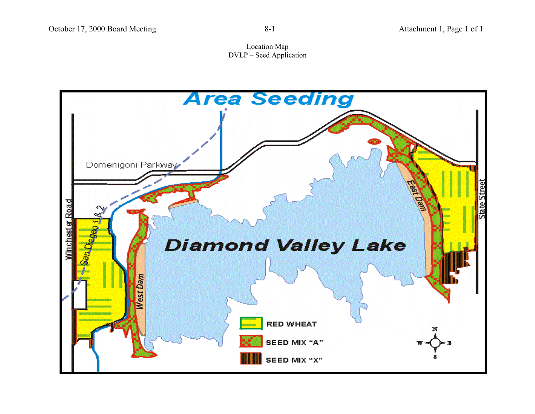Location Map DVLP – Seed Application